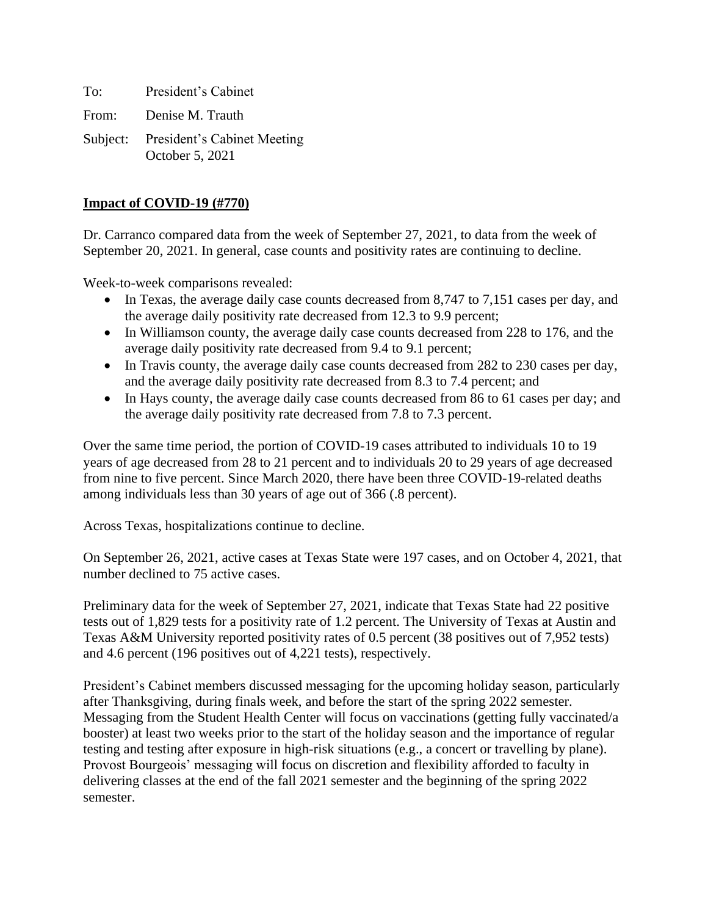To: President's Cabinet From: Denise M. Trauth Subject: President's Cabinet Meeting October 5, 2021

#### **Impact of COVID-19 (#770)**

Dr. Carranco compared data from the week of September 27, 2021, to data from the week of September 20, 2021. In general, case counts and positivity rates are continuing to decline.

Week-to-week comparisons revealed:

- In Texas, the average daily case counts decreased from 8,747 to 7,151 cases per day, and the average daily positivity rate decreased from 12.3 to 9.9 percent;
- In Williamson county, the average daily case counts decreased from 228 to 176, and the average daily positivity rate decreased from 9.4 to 9.1 percent;
- In Travis county, the average daily case counts decreased from 282 to 230 cases per day, and the average daily positivity rate decreased from 8.3 to 7.4 percent; and
- In Hays county, the average daily case counts decreased from 86 to 61 cases per day; and the average daily positivity rate decreased from 7.8 to 7.3 percent.

Over the same time period, the portion of COVID-19 cases attributed to individuals 10 to 19 years of age decreased from 28 to 21 percent and to individuals 20 to 29 years of age decreased from nine to five percent. Since March 2020, there have been three COVID-19-related deaths among individuals less than 30 years of age out of 366 (.8 percent).

Across Texas, hospitalizations continue to decline.

On September 26, 2021, active cases at Texas State were 197 cases, and on October 4, 2021, that number declined to 75 active cases.

Preliminary data for the week of September 27, 2021, indicate that Texas State had 22 positive tests out of 1,829 tests for a positivity rate of 1.2 percent. The University of Texas at Austin and Texas A&M University reported positivity rates of 0.5 percent (38 positives out of 7,952 tests) and 4.6 percent (196 positives out of 4,221 tests), respectively.

President's Cabinet members discussed messaging for the upcoming holiday season, particularly after Thanksgiving, during finals week, and before the start of the spring 2022 semester. Messaging from the Student Health Center will focus on vaccinations (getting fully vaccinated/a booster) at least two weeks prior to the start of the holiday season and the importance of regular testing and testing after exposure in high-risk situations (e.g., a concert or travelling by plane). Provost Bourgeois' messaging will focus on discretion and flexibility afforded to faculty in delivering classes at the end of the fall 2021 semester and the beginning of the spring 2022 semester.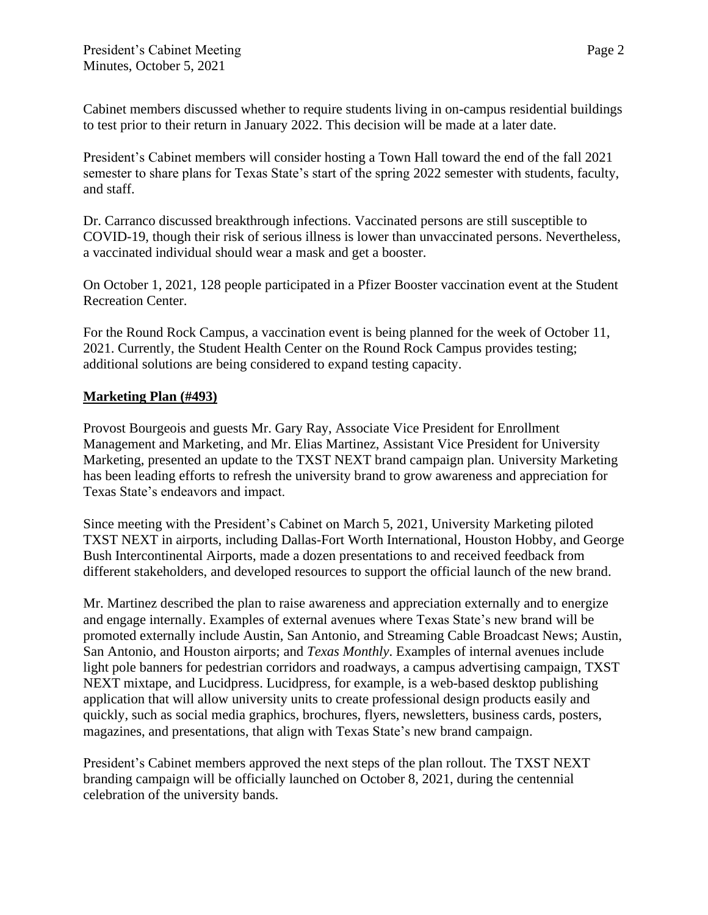Cabinet members discussed whether to require students living in on-campus residential buildings to test prior to their return in January 2022. This decision will be made at a later date.

President's Cabinet members will consider hosting a Town Hall toward the end of the fall 2021 semester to share plans for Texas State's start of the spring 2022 semester with students, faculty, and staff.

Dr. Carranco discussed breakthrough infections. Vaccinated persons are still susceptible to COVID-19, though their risk of serious illness is lower than unvaccinated persons. Nevertheless, a vaccinated individual should wear a mask and get a booster.

On October 1, 2021, 128 people participated in a Pfizer Booster vaccination event at the Student Recreation Center.

For the Round Rock Campus, a vaccination event is being planned for the week of October 11, 2021. Currently, the Student Health Center on the Round Rock Campus provides testing; additional solutions are being considered to expand testing capacity.

#### **Marketing Plan (#493)**

Provost Bourgeois and guests Mr. Gary Ray, Associate Vice President for Enrollment Management and Marketing, and Mr. Elias Martinez, Assistant Vice President for University Marketing, presented an update to the TXST NEXT brand campaign plan. University Marketing has been leading efforts to refresh the university brand to grow awareness and appreciation for Texas State's endeavors and impact.

Since meeting with the President's Cabinet on March 5, 2021, University Marketing piloted TXST NEXT in airports, including Dallas-Fort Worth International, Houston Hobby, and George Bush Intercontinental Airports, made a dozen presentations to and received feedback from different stakeholders, and developed resources to support the official launch of the new brand.

Mr. Martinez described the plan to raise awareness and appreciation externally and to energize and engage internally. Examples of external avenues where Texas State's new brand will be promoted externally include Austin, San Antonio, and Streaming Cable Broadcast News; Austin, San Antonio, and Houston airports; and *Texas Monthly*. Examples of internal avenues include light pole banners for pedestrian corridors and roadways, a campus advertising campaign, TXST NEXT mixtape, and Lucidpress. Lucidpress, for example, is a web-based desktop publishing application that will allow university units to create professional design products easily and quickly, such as social media graphics, brochures, flyers, newsletters, business cards, posters, magazines, and presentations, that align with Texas State's new brand campaign.

President's Cabinet members approved the next steps of the plan rollout. The TXST NEXT branding campaign will be officially launched on October 8, 2021, during the centennial celebration of the university bands.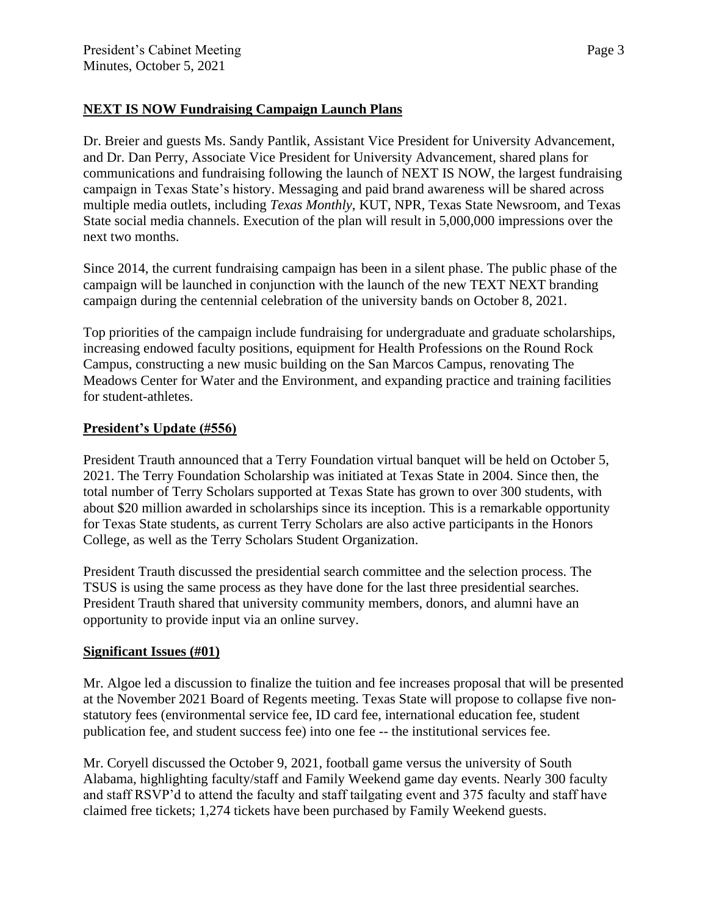## **NEXT IS NOW Fundraising Campaign Launch Plans**

Dr. Breier and guests Ms. Sandy Pantlik, Assistant Vice President for University Advancement, and Dr. Dan Perry, Associate Vice President for University Advancement, shared plans for communications and fundraising following the launch of NEXT IS NOW, the largest fundraising campaign in Texas State's history. Messaging and paid brand awareness will be shared across multiple media outlets, including *Texas Monthly*, KUT, NPR, Texas State Newsroom, and Texas State social media channels. Execution of the plan will result in 5,000,000 impressions over the next two months.

Since 2014, the current fundraising campaign has been in a silent phase. The public phase of the campaign will be launched in conjunction with the launch of the new TEXT NEXT branding campaign during the centennial celebration of the university bands on October 8, 2021.

Top priorities of the campaign include fundraising for undergraduate and graduate scholarships, increasing endowed faculty positions, equipment for Health Professions on the Round Rock Campus, constructing a new music building on the San Marcos Campus, renovating The Meadows Center for Water and the Environment, and expanding practice and training facilities for student-athletes.

# **President's Update (#556)**

President Trauth announced that a Terry Foundation virtual banquet will be held on October 5, 2021. The Terry Foundation Scholarship was initiated at Texas State in 2004. Since then, the total number of Terry Scholars supported at Texas State has grown to over 300 students, with about \$20 million awarded in scholarships since its inception. This is a remarkable opportunity for Texas State students, as current Terry Scholars are also active participants in the [Honors](http://www.txstate.edu/honors/)  [College,](http://www.txstate.edu/honors/) as well as the [Terry Scholars Student Organization.](https://www.finaid.txstate.edu/scholarships/terry/scholars.html)

President Trauth discussed the presidential search committee and the selection process. The TSUS is using the same process as they have done for the last three presidential searches. President Trauth shared that university community members, donors, and alumni have an opportunity to provide input via an online survey.

### **Significant Issues (#01)**

Mr. Algoe led a discussion to finalize the tuition and fee increases proposal that will be presented at the November 2021 Board of Regents meeting. Texas State will propose to collapse five nonstatutory fees (environmental service fee, ID card fee, international education fee, student publication fee, and student success fee) into one fee -- the institutional services fee.

Mr. Coryell discussed the October 9, 2021, football game versus the university of South Alabama, highlighting faculty/staff and Family Weekend game day events. Nearly 300 faculty and staff RSVP'd to attend the faculty and staff tailgating event and 375 faculty and staff have claimed free tickets; 1,274 tickets have been purchased by Family Weekend guests.